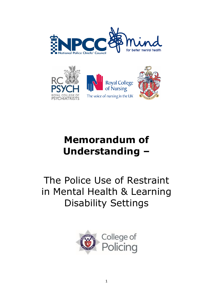



# **Memorandum of Understanding –**

The Police Use of Restraint in Mental Health & Learning Disability Settings

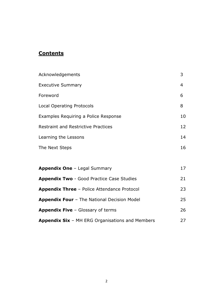# **Contents**

| Acknowledgements                           | 3              |
|--------------------------------------------|----------------|
| <b>Executive Summary</b>                   | $\overline{4}$ |
| Foreword                                   | 6              |
| Local Operating Protocols                  | 8              |
| Examples Requiring a Police Response       | 10             |
| <b>Restraint and Restrictive Practices</b> | 12             |
| Learning the Lessons                       | 14             |
| The Next Steps                             | 16             |
|                                            |                |

| <b>Appendix One - Legal Summary</b>                    | 17 |
|--------------------------------------------------------|----|
| <b>Appendix Two - Good Practice Case Studies</b>       | 21 |
| <b>Appendix Three</b> - Police Attendance Protocol     | 23 |
| <b>Appendix Four - The National Decision Model</b>     | 25 |
| <b>Appendix Five - Glossary of terms</b>               | 26 |
| <b>Appendix Six - MH ERG Organisations and Members</b> | 27 |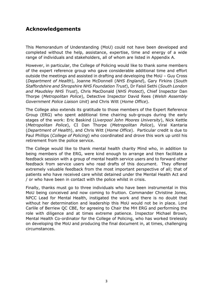# **Acknowledgements**

This Memorandum of Understanding (MoU) could not have been developed and completed without the help, assistance, expertise, time and energy of a wide range of individuals and stakeholders, all of whom are listed in Appendix A.

However, in particular, the College of Policing would like to thank some members of the expert reference group who gave considerable additional time and effort outside the meetings and assisted in drafting and developing the MoU – Guy Cross (*Department of Health*), Joanne McDonnell (*NHS England*), Gary Firkins (*South Staffordshire and Shropshire NHS Foundation Trust*), Dr Faisil Sethi (*South London and Maudsley NHS Trust*), Chris MacDonald (*NHS Protect*), Chief Inspector Dan Thorpe (*Metropolitan Police*), Detective Inspector David Rees (*Welsh Assembly Government Police Liaison Unit*) and Chris Witt (*Home Office*).

The College also extends its gratitude to those members of the Expert Reference Group (ERG) who spent additional time chairing sub-groups during the early stages of the work: Eric Baskind (*Liverpool John Moores University*), Nick Kettle (*Metropolitan Police*), CI Dan Thorpe (*Metropolitan Police*), Viral Kantaria (*Department of Health*), and Chris Witt (*Home Office*). Particular credit is due to Paul Phillips (*College of Policing*) who coordinated and drove this work up until his retirement from the police service.

The College would like to thank mental health charity Mind who, in addition to being members of the ERG, were kind enough to arrange and then facilitate a feedback session with a group of mental health service users and to forward other feedback from service users who read drafts of this document. They offered extremely valuable feedback from the most important perspective of all; that of patients who have received care whilst detained under the Mental Health Act and / or who have been in contact with the police whilst in crisis.

Finally, thanks must go to three individuals who have been instrumental in this MoU being conceived and now coming to fruition. Commander Christine Jones, NPCC Lead for Mental Health, instigated the work and there is no doubt that without her determination and leadership this MoU would not be in place. Lord Carlile of Berriew QC CBE, for agreeing to Chair the MH ERG and performing the role with diligence and at times extreme patience. Inspector Michael Brown, Mental Health Co-ordinator for the College of Policing, who has worked tirelessly on developing the MoU and producing the final document in, at times, challenging circumstances.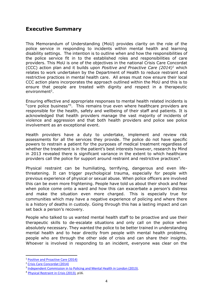# **Executive Summary**

This Memorandum of Understanding (MoU) provides clarity on the role of the police service in responding to incidents within mental health and learning disability settings. The intention is to outline when and how the responsibilities of the police service fit in to the established roles and responsibilities of care providers. This MoU is one of the objectives in the national Crisis Care Concordat (CCC) action plan and it builds upon *Positive and Proactive Care (2014)<sup>1</sup>* which relates to work undertaken by the Department of Health to reduce restraint and restrictive practices in mental health care. All areas must now ensure their local CCC action plans incorporates the approach outlined within the MoU and this is to ensure that people are treated with dignity and respect in a therapeutic environment<sup>2</sup>.

Ensuring effective and appropriate responses to mental health related incidents is "core police business"<sup>3</sup>. This remains true even where healthcare providers are responsible for the health, safety and wellbeing of their staff and patients. It is acknowledged that health providers manage the vast majority of incidents of violence and aggression and that both health providers and police see police involvement as an exceptional event.

Health providers have a duty to undertake, implement and review risk assessments for all the services they provide. The police do not have specific powers to restrain a patient for the purposes of medical treatment regardless of whether the treatment is in the patient's best interests however, research by Mind in 2013 revealed there is significant variance in the extent to which healthcare providers call the police for support around restraint and restrictive practices<sup>4</sup>.

Physical restraint can be humiliating, terrifying, dangerous and even lifethreatening. It can trigger psychological trauma, especially for people with previous experience of physical or sexual abuse. When police officers are involved this can be even more frightening. People have told us about their shock and fear when police come onto a ward and how this can exacerbate a person's distress and make the situation even more charged. This is especially true for communities which may have a negative experience of policing and where there is a history of deaths in custody. Going through this has a lasting impact and can set back a person's recovery.

People who talked to us wanted mental health staff to be proactive and use their therapeutic skills to de-escalate situations and only call on the police when absolutely necessary. They wanted the police to be better trained in understanding mental health and to hear directly from people with mental health problems, people who are through the other side of crisis and can share their insights. Whoever is involved in responding to an incident, everyone was clear on the

**.** 

<sup>1</sup> [Positive and Proactive Care \(2014\)](https://www.gov.uk/government/uploads/system/uploads/attachment_data/file/300293/JRA_DoH_Guidance_on_RP_web_accessible.pdf)

<sup>2</sup> [Crisis Care Concordat \(2014\)](http://www.crisiscareconcordat.org.uk/about/)

<sup>&</sup>lt;sup>3</sup> [Independent Commission in to Policing and Mental Health in London \(2013\).](http://www.turning-point.co.uk/media/621030/independent_commission_on_mental_health_and_policing_main_report.pdf)

<sup>&</sup>lt;sup>4</sup> [Physical Restraint in Crisis \(2013\),](https://www.mind.org.uk/media/197120/physical_restraint_final_web_version.pdf) p16.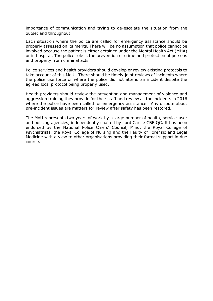importance of communication and trying to de-escalate the situation from the outset and throughout.

Each situation where the police are called for emergency assistance should be properly assessed on its merits. There will be no assumption that police cannot be involved because the patient is either detained under the Mental Health Act (MHA) or in hospital. The police role is the prevention of crime and protection of persons and property from criminal acts.

Police services and health providers should develop or review existing protocols to take account of this MoU. There should be timely joint reviews of incidents where the police use force or where the police did not attend an incident despite the agreed local protocol being properly used.

Health providers should review the prevention and management of violence and aggression training they provide for their staff and review all the incidents in 2016 where the police have been called for emergency assistance. Any dispute about pre-incident issues are matters for review after safety has been restored.

The MoU represents two years of work by a large number of health, service-user and policing agencies, independently chaired by Lord Carlile CBE QC. It has been endorsed by the National Police Chiefs' Council, Mind, the Royal College of Psychiatrists, the Royal College of Nursing and the Faulty of Forensic and Legal Medicine with a view to other organisations providing their formal support in due course.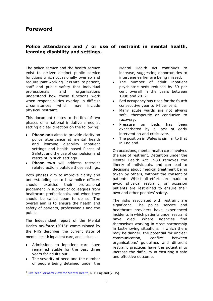# **Foreword**

# **Police attendance and / or use of restraint in mental health, learning disability and settings.**

The police service and the health service exist to deliver distinct public service functions which occasionally overlap and require joint working. It is vital to patient, staff and public safety that individual professionals and organisations understand how these functions work when responsibilities overlap in difficult circumstances which may include physical restraint.

This document relates to the first of two phases of a national initiative aimed at setting a clear direction on the following;

- **Phase one** aims to provide clarity on police attendance at mental health and learning disability inpatient settings and health based Places of Safety, and the use of compulsion and restraint in such settings.
- **Phase two** will address restraint related actions outside those settings.

Both phases aim to improve clarity and understanding as to how police officers should exercise their professional judgement in support of colleagues from healthcare professionals, and when they should be called upon to do so. The overall aim is to ensure the health and safety of patients, professionals and the public.

The Independent report of the Mental Health taskforce (2015)<sup>5</sup> commissioned by the NHS describes the current state of mental health inpatient care, and includes:

- Admissions to inpatient care have remained stable for the past three years for adults but -
- The severity of need and the number of people being detained under the

**.** 

Mental Health Act continues to increase, suggesting opportunities to intervene earlier are being missed.

- The number of adult inpatient psychiatric beds reduced by 39 per cent overall in the years between 1998 and 2012.
- Bed occupancy has risen for the fourth consecutive year to 94 per cent.
- Many acute wards are not always safe, therapeutic or conducive to recovery.
- Pressure on beds has been exacerbated by a lack of early intervention and crisis care.
- The position in Wales is similar to that in England.

On occasions, mental health care involves the use of restraint. Detention under the Mental Health Act 1983 removes the liberty of individuals, and can lead to decisions about medical treatment being taken by others, without the consent of patients. Whilst all efforts are made to avoid physical restraint, on occasion patients are restrained to ensure their own and other peoples' safety.

The risks associated with restraint are significant. The police service and healthcare providers have experienced incidents in which patients under restraint have died. Where agencies find themselves working in close partnership in fast-moving situations in which there may be danger, the potential for unclear communication, conflict between organisations' guidelines and different restraint practices have the potential to increase the difficulty in ensuring a safe and effective outcome.

<sup>&</sup>lt;sup>5</sup> [Five Year Forward View for Mental Health,](https://www.england.nhs.uk/wp-content/uploads/2016/02/Mental-Health-Taskforce-FYFV-final.pdf) NHS England (2015).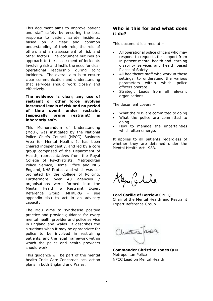This document aims to improve patient and staff safety by ensuring the best response to patient safety incidents, based on a clear and common understanding of their role, the role of others and an assessment of risk and other factors. The document outlines an approach to the assessment of incidents involving risk and instils the need for clear operational leadership during joint incidents. The overall aim is to ensure clear communication and understanding that services should work closely and effectively.

**The evidence is clear; any use of restraint or other force involves increased levels of risk and no period of time spent under restraint (especially prone restraint) is inherently safe.**

This Memorandum of Understanding (MoU), was instigated by the National Police Chiefs Council (NPCC) Business Area for Mental Health. It has been chaired independently, and led by a core group comprised of the Department of Health, representatives from the Royal College of Psychiatrists, Metropolitan Police Service, Home Office and NHS England, NHS Protect and which was coordinated by the College of Policing. Furthermore over 40 agencies / organisations were formed into the Mental Health & Restraint Expert Reference Group (MHRERG – see appendix six) to act in an advisory capacity.

The MoU aims to synthesise positive practice and provide guidance for every mental health provider and police service in England and Wales. It describes the situations when it may be appropriate for police to be involved in restraining patients, and the legal framework within which the police and health providers should work.

This guidance will be part of the mental health Crisis Care Concordat local action plans in both England and Wales.

# **Who is this for and what does it do?**

This document is aimed at –

- All operational police officers who may respond to requests for support from in-patient mental health and learning disability services and health based Places of Safety
- All healthcare staff who work in these settings, to understand the various parameters within which police officers operate.
- Strategic Leads from all relevant organisations

The document covers –

- What the NHS are committed to doing
- What the police are committed to doing
- How to manage the uncertainties which often emerge.

It applies to all patients regardless of whether they are detained under the Mental Health Act 1983.

o/grhile

**Lord Carlile of Berriew** CBE QC Chair of the Mental Health and Restraint Expert Reference Group

Chuttine area

**Commander Christine Jones** QPM Metropolitan Police NPCC Lead on Mental Health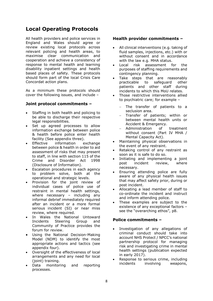# **Local Operating Protocols**

All health providers and police services in England and Wales should agree or review existing local protocols across relevant policing and health areas, to maximise clear communication and cooperation and achieve a consistency of response to mental health and learning disability inpatient settings and health based places of safety. These protocols should form part of the local Crisis Care Concordat action plans.

As a minimum these protocols should cover the following issues, and include –

### **Joint protocol commitments –**

- Staffing in both health and policing to be able to discharge their respective legal responsibilities.
- Set up agreed processes to allow information exchange between police & health before police enter health facility (See appendix three).
- Effective information exchange between police & health in order to aid assessment of risks that may present to staff, in line with section 115 of the Crime and Disorder Act 1998 (Disclosure of Information).
- Escalation procedures in each agency to problem solve, both at the operational and strategic levels.
- Provision for the joint review of individual cases of police use of restraint in mental health settings, where necessary – including any informal debrief immediately required after an incident or a more formal serious incident (SI) or near miss review, where required.
- In Wales the National Untoward Incidents Steering Group and Community of Practice provides the forum for review.
- Using the National Decision-Making Model (NDM) to identify the most appropriate actions and tactics (see appendix four).
- Oversight of the effectiveness of local arrangements and any need for local (joint) training.
- Data monitoring and reporting processes.

## **Health provider commitments –**

- All clinical interventions (e.g. taking of fluid samples, injections, etc.) with or without consent and in accordance with the law e.g. MHA status.
- Local risk assessment for the purposes of staffing requirements and contingency planning.
- Take steps that are reasonably practicable to safeguard other patients and other staff during incidents to which this MoU relates.
- Those restrictive interventions allied to psychiatric care; for example –
	- The transfer of patients to a seclusion area.
	- Transfer of patients; within or between mental health units or Accident & Emergency.
	- Administration of treatment without consent (Part IV MHA / Mental Capacity Act).
- Maintaining physical observations in the event of any restraint.
- Retaking control of any restraint as soon as it is safe to do so.
- Initiating and implementing a joint post incident review, where necessary.
- Ensuring attending police are fully aware of any physical health issues that may affect safety prior, during or post incident.
- Allocating a lead member of staff to co-ordinate the incident and instruct and inform attending police.
- These examples are subject to the existence of any exceptional factors – see the "overarching ethos", p8.

#### **Police commitments –**

- Investigation of any allegations of criminal conduct should take into account NHS Protect / NPCC's national partnership protocol for managing risk and investigating crime in mental health settings (publication expected in early 2017).
- Response to serious crime, including incidents involving weapons,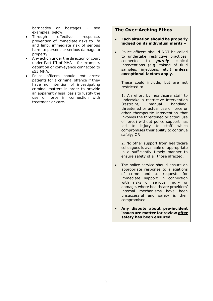barricades or hostages – see examples, below.

- Through effective response, prevention of immediate risks to life and limb, immediate risk of serious harm to persons or serious damage to property.
- Any action under the direction of court under Part III of MHA – for example, detention or conveyance connected to s55 MHA.
- Police officers should *not* arrest patients for a criminal offence if they have no intention of investigating criminal matters in order to provide an apparently legal basis to justify the use of force in connection with treatment or care.

# **The Over-Arching Ethos**

- **Each situation should be properly judged on its individual merits –**
- Police officers should NOT be called to undertake restrictive practices, connected to *purely* clinical interventions (e.g. taking of fluid samples, injections, etc.) **unless exceptional factors apply**.

These could include, but are not restricted to –

1. An effort by healthcare staff to undertake a restrictive intervention (restraint, manual handling, threatened or actual use of force or other therapeutic intervention that involves the threatened or actual use of force) without police support has led to injury to staff which compromises their ability to continue safely; OR

2. No other support from healthcare colleagues is available or appropriate in a sufficiently timely manner to ensure safety of all those affected.

• The police service should ensure an appropriate response to allegations of crime and to requests for immediate support in connection with risks of serious injury or damage, where healthcare providers' internal mechanisms have been unsuccessful and safety is then compromised.

 **Any dispute about pre-incident issues are matter for review after safety has been ensured.**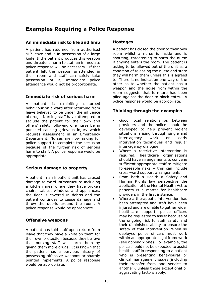# **Examples Requiring a Police Response**

### **An immediate risk to life and limb**

A patient has returned from authorised s17 leave and is in possession of a large knife. If the patient produces this weapon and threatens harm to staff an immediate police response will be necessary. If that patient left the weapon unattended in their room and staff can safely take possession of it, immediate police attendance would not be proportionate.

## **Immediate risk of serious harm**

A patient is exhibiting disturbed behaviour on a ward after returning from leave believed to be under the influence of drugs. Nursing staff have attempted to seclude the patient for their own and others' safety following one nurse being punched causing grievous injury which requires assessment in an Emergency Department. Nurses are now asking for police support to complete the seclusion because of the further risk of serious harm to staff. A police response would be appropriate.

## **Serious damage to property**

A patient in an inpatient unit has caused damage to ward infrastructure including a kitchen area where they have broken chairs, tables, windows and appliances, the floor is covered in debris and the patient continues to cause damage and throw the debris around the room. A police response would be appropriate.

## **Offensive weapons**

A patient has told staff upon return from leave that they have a knife on them for their own protection because they believe that nursing staff will harm them by giving them more drugs. It is known that the patient has a pervious history of possessing offensive weapons or sharply pointed implements. A police response would be appropriate.

#### **Hostages**

A patient has closed the door to their own room whilst a nurse is inside and is shouting, threatening to harm the nurse if anyone enters the room. The patient is asking to be allowed out of the unit as a condition of releasing the nurse and state they will harm them unless this is agreed to. There is no indication one way or the other as to whether the patient has a weapon and the noise from within the room suggests that furniture has been piled against the door to block entry. A police response would be appropriate.

## **Thinking through the examples**

- Good local relationships between providers and the police should be developed to help prevent violent situations arising through single and inter-agency work on early intervention techniques and reqular inter-agency dialogue.
- Where a restrictive intervention is required, healthcare organisations should have arrangements to convene sufficient appropriate staff to mitigate foreseeable risks – this can include cross-ward support arrangements.
- From both a Health & Safety and Human Rights law perspective the application of the Mental Health Act to patients is a matter for healthcare providers in the first instance.
- Where a therapeutic intervention has been attempted and staff have been injured and are unable to gather wider healthcare support, police officers may be requested to assist because of the ongoing risk to staff safety and their diminished ability to ensure the safety of that intervention. When so deployed police officers must work within an appropriate legal framework (see appendix one). For example, the police should not be expected to assist health staff in responding to a patient who is presenting behavioural or clinical management issues (including their transfer from one service to another), unless those exceptional or aggravating factors apply.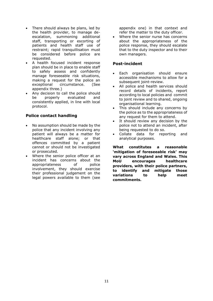- There should always be plans, led by the health provider, to manage deescalation, summoning additional staff, transporting or escorting of patients and health staff use of restraint; rapid tranquillisation must be considered before police are requested.
- A health focused incident response plan should be in place to enable staff to safely assess and confidently manage foreseeable risk situations, making a request for the police an exceptional circumstance. (See appendix three.)
- Any decision to call the police should be properly evaluated and consistently applied, in line with local protocol.

# **Police contact handling**

- No assumption should be made by the police that any incident involving any patient will always be a matter for healthcare staff alone; or that offences committed by a patient cannot or should not be investigated or prosecuted.
- Where the senior police officer at an incident has concerns about the appropriateness of police involvement, they should exercise their professional judgement on the legal powers available to them (see

appendix one) in that context and refer the matter to the duty officer.

 Where the senior nurse has concerns about the appropriateness of the police response, they should escalate that to the duty inspector and to their own managers.

### **Post-incident**

- Each organisation should ensure accessible mechanisms to allow for a subsequent joint-review.
- All police and health services should record details of incidents, report according to local policies and commit to joint review and to shared, ongoing organisational learning.
- This should include any concerns by the police as to the appropriateness of any request for them to attend.
- It should review any decision by the police not to attend an incident, after being requested to do so.
- Collate data for reporting and analytical purposes.

**What constitutes a reasonable 'mitigation of foreseeable risk' may vary across England and Wales. This MoU encourages healthcare providers, with their police partners, to identify and mitigate those variations to help meet commitments.**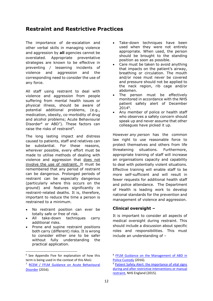# **Restraint and Restrictive Practices**

The importance of de-escalation and other verbal skills in managing violence and aggression by **all** agencies cannot be overstated. Appropriate preventative strategies are known to be effective in preventing / lessening incidents of violence and aggression and the corresponding need to consider the use of any force.

All staff using restraint to deal with violence and aggression from people suffering from mental health issues or physical illness, should be aware of potential additional problems, (e.g., medication, obesity, co-morbidity of drug and alcohol problems; Acute Behavioural Disorder $^6$  or ABD<sup>7</sup>). These factors can raise the risks of restraint<sup>8</sup>.

The long lasting impact and distress caused to patients, staff and relatives can be substantial. For these reasons, wherever possible, every effort must be made to utilise methods of dealing with violence and aggression that does not involve the use of restraint. It must be remembered that any period of restraint can be dangerous. Prolonged periods of restraint can be especially dangerous (particularly where this occurs on the ground) and features significantly in restraint-related deaths. It is, therefore, important to reduce the time a person is restrained to a minimum.

- No restraint position can ever be totally safe or free of risk.
- All take-down techniques carry additional risks.
- Prone and supine restraint positions both carry (different) risks. It is wrong to consider either one to be safer without fully understanding the practical application.

 $\overline{a}$ 

- Take-down techniques have been used when they were not entirely appropriate. When used, the person should be brought to the standing position as soon as possible.
- Care must be taken to avoid anything that impacts on the patient's airway, breathing or circulation. The mouth and/or nose must never be covered and pressure should not be applied to the neck region, rib cage and/or abdomen.
- The person must be effectively monitored in accordance with the NHS patient safety alert of December 2014<sup>9</sup> .
- Any member of police or health staff who observes a safety concern should speak up and never assume that other colleagues have picked it up.

However *any person* has the common law right to use reasonable force to protect themselves and others from life threatening situations. Furthermore, appropriate training of staff will increase an organisations capacity and capability to deal with potentially violent situations. Effective training will enable staff to be more self-sufficient and will result in fewer requests for additional health staff and police attendance. The Department of Health is leading work to develop national standards for the prevention and management of violence and aggression.

## **Clinical oversight –**

It is important to consider all aspects of medical oversight during restraint. This should include a discussion about specific roles and responsibilities. This must include an understanding of –

<sup>&</sup>lt;sup>6</sup> See Appendix Five for explanation of how this term is being used in the context of this MoU.

<sup>7</sup> RCEM [/ FFLM Guidance on Acute Behavioural](http://www.rcem.ac.uk/CEM/document?id=1006)  [Disorder](http://www.rcem.ac.uk/CEM/document?id=1006) (2016).

<sup>&</sup>lt;sup>8</sup> FFLM Guidance on the Management of ABD in [Police Custody](http://www.fflm.ac.uk/wp-content/uploads/documentstore/1310745561.pdf) (2016).

<sup>&</sup>lt;sup>9</sup> Patient Safety Alert: the importance of vital signs [during and after restrictive interventions](https://www.england.nhs.uk/wp-content/uploads/2015/12/psa-vital-signs-restrictive-interventions-031115.pdf) or manual [restraint,](https://www.england.nhs.uk/wp-content/uploads/2015/12/psa-vital-signs-restrictive-interventions-031115.pdf) NHS England (2015).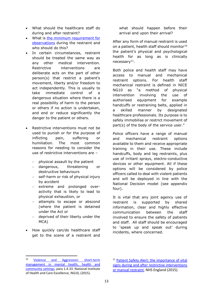- What should the healthcare staff do during and after restraint?
- What is [the minimum requirement for](https://www.england.nhs.uk/wp-content/uploads/2015/12/psa-vital-signs-restrictive-interventions-031115.pdf)  [observations](https://www.england.nhs.uk/wp-content/uploads/2015/12/psa-vital-signs-restrictive-interventions-031115.pdf) during the restraint and who should do this?
- In certain circumstances, restraint should be treated the same way as any other medical intervention. Restrictive interventions are deliberate acts on the part of other person(s) that restrict a patient's movement, liberty and/or freedom to act independently. This is usually to take immediate control of a dangerous situation where there is a real possibility of harm to the person or others if no action is undertaken, and end or reduce significantly the danger to the patient or others.
- Restrictive interventions must not be used to punish or for the purpose of inflicting pain, suffering or humiliation. The most common reasons for needing to consider the use of restrictive interventions are –
	- $-$  physical assault by the patient
	- dangerous, threatening or destructive behaviours
	- self-harm or risk of physical injury by accident
	- extreme and prolonged overactivity that is likely to lead to physical exhaustion, or
	- attempts to escape or abscond (where the patient is detained under the Act or
	- deprived of their liberty under the MCA)
- How quickly can/do healthcare staff get to the scene of a restraint and

what should happen before their arrival and upon their arrival?

After any form of manual restraint is used on a patient, health staff should monitor<sup>10</sup> the patient's physical and psychological health for as long as is clinically necessary<sup>11</sup>.

Both police and health staff may have access to manual and mechanical restraint options. For health staff mechanical restraint is defined in NICE NG10 as "a method of physical intervention involving the use of authorised equipment for example handcuffs or restraining belts, applied in a skilled manner by designated healthcare professionals. Its purpose is to safely immobilise or restrict movement of part(s) of the body of the service user."

Police officers have a range of manual and mechanical restraint options available to them and receive appropriate training in their use. These include handcuffs, body and leg restraints, plus use of irritant sprays, electro-conductive devices or other equipment. All if these options will be considered by police officers called to deal with violent patients and will be deployed in line with the National Decision model (see appendix four).

It is vital that any joint agency use of restraint is supported by shared information, clear and highly effective communication between the staff involved to ensure the safety of patients and staff. All staff should be encouraged to 'speak up and speak out' during incidents, where concerned.

**.** 

<sup>10</sup> [Violence and Aggression: short-term](https://www.nice.org.uk/guidance/ng10/resources/violence-and-aggression-shortterm-management-in-mental-health-health-and-community-settings-1837264712389)  [management in mental health, health and](https://www.nice.org.uk/guidance/ng10/resources/violence-and-aggression-shortterm-management-in-mental-health-health-and-community-settings-1837264712389)  [community settings,](https://www.nice.org.uk/guidance/ng10/resources/violence-and-aggression-shortterm-management-in-mental-health-health-and-community-settings-1837264712389) para 1.4.33. National Institute of Health and Care Excellence, NG10, (2015).

<sup>11</sup> [Patient Safety Alert: the importance of vital](https://www.england.nhs.uk/wp-content/uploads/2015/12/psa-vital-signs-restrictive-interventions-031115.pdf)  [signs during and after restrictive interventions](https://www.england.nhs.uk/wp-content/uploads/2015/12/psa-vital-signs-restrictive-interventions-031115.pdf)  [or manual restraint,](https://www.england.nhs.uk/wp-content/uploads/2015/12/psa-vital-signs-restrictive-interventions-031115.pdf) NHS England (2015).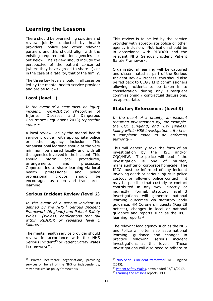# **Learning the Lessons**

There should be overarching scrutiny and review jointly conducted by health providers, police and other relevant partners and this should align with the existing requirements for agencies set out below. The review should include the perspective of the patient concerned (where they have agreed to share it), or in the case of a fatality, that of the family.

The three key levels should in all cases be led by the mental health service provider and are as follows:

# **Local (level 1)**

*In the event of a near miss, no injury incident, non-RIDDOR (*Reporting of Injuries, Diseases and Dangerous Occurrence Regulations 2013) *reportable injury –*

A local review, led by the mental health service provider with appropriate police or other agency inclusion. This organisational learning should at the very minimum be shared locally and with all the agencies involved in the incident. This should inform local procedures, arrangements and processes. Opportunities to share learning via local health professional and police professional groups should be encouraged as open and transparent learning.

# **Serious Incident Review (level 2)**

*In the event of a serious incident as defined by the NHS*<sup>12</sup> *Serious Incident Framework (England) and Patient Safety Wales (Wales), notifications that fall within RIDDOR or repeated level 1 failures –*

The mental health service provider should review in accordance with the NHS Serious Incident<sup>13</sup> or Patient Safety Wales Frameworks<sup>14</sup>.

**.** 

This review is to be led by the service provider with appropriate police or other agency inclusion. Notification should be in accordance with RIDDOR and the relevant NHS Serious Incident Patient Safety Framework.

Organisational learning will be captured and disseminated as part of the Serious Incident Review Process; this should also be fed back to CCG / LHB commissioners allowing incidents to be taken in to consideration during any subsequent commissioning / contractual discussions, as appropriate.

# **Statutory Enforcement (level 3)**

*In the event of a fatality, an incident requiring investigation by, for example, the CQC (England) and HIW (Wales), falling within HSE investigation criteria or a complaint made to an enforcing authority –*

This will generally take the form of an investigation by the HSE and/or CQC/HIW. The police will lead if the investigation is one of murder, manslaughter or corporate homicide. The IPCC must be informed of any incident involving death or serious injury in police custody or following police contact if it may be possible that custody or contact contributed in any way, directly or indirectly. Formal, statutory level 3 investigations will generate national learning outcomes via statutory body guidance, HM Coroners inquests (Reg 28 notices), changes in local or national guidance and reports such as the IPCC learning reports<sup>15</sup>.

The relevant lead agency such as the NHS and Police will often also issue national learning, guidance and changes in practice following serious incident investigations at this level. These investigations will also need to adhere to

<sup>12</sup> Private healthcare organisations, providing services on behalf of the NHS or independently, may have similar policy frameworks.

<sup>&</sup>lt;sup>13</sup> [NHS Serious Incident framework,](http://www.england.nhs.uk/patientsafety/serious-incident/) NHS England (2015).

<sup>14</sup> [Patient Safety Wales,](http://www.patientsafety.wales.nhs.uk/patient-safety-incidents) downloaded 07/01/2017.

<sup>&</sup>lt;sup>15</sup> [Learning the Lessons](https://www.ipcc.gov.uk/reports/learning-the-lessons/learning-lessons) reports, IPCC.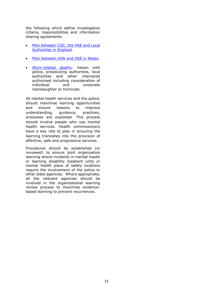the following which define investigation criteria, responsibilities and information sharing agreements:

- MoU between COC, the HSE and Local [Authorities in England.](http://www.hse.gov.uk/aboutus/howwework/framework/mou/mou-cqc-hes-law.pdf)
- [MoU between HIW and HSE in Wales.](http://hiw.org.uk/docs/hiw/publications/160404hsemouen.pdf)
- [Work-related deaths:](http://www.hse.gov.uk/pubns/wrdp1.pdf) liaison with police, prosecuting authorities, local authorities and other interested authorised including consideration of individual and corporate manslaughter or homicide**.**

All mental health services and the police, should maximise learning opportunities and ensure lessons to improve understanding, guidance, practices, processes are exploited. This process should involve people who use mental health services. Health commissioners have a key role to play in ensuring the learning translates into the provision of effective, safe and progressive services.

Procedures should be established (or reviewed) to ensure joint organisation learning where incidents in mental health or learning disability inpatient units or mental health place of safety locations require the involvement of the police or other state agencies. Where appropriate, all the relevant agencies should be involved in the organisational learning review process to maximise evidencebased learning to prevent recurrences.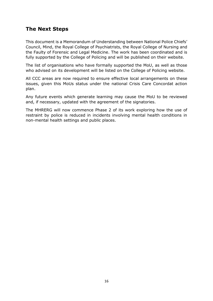# **The Next Steps**

This document is a Memorandum of Understanding between National Police Chiefs' Council, Mind, the Royal College of Psychiatrists, the Royal College of Nursing and the Faulty of Forensic and Legal Medicine. The work has been coordinated and is fully supported by the College of Policing and will be published on their website.

The list of organisations who have formally supported the MoU, as well as those who advised on its development will be listed on the College of Policing website.

All CCC areas are now required to ensure effective local arrangements on these issues, given this MoUs status under the national Crisis Care Concordat action plan.

Any future events which generate learning may cause the MoU to be reviewed and, if necessary, updated with the agreement of the signatories.

The MHRERG will now commence Phase 2 of its work exploring how the use of restraint by police is reduced in incidents involving mental health conditions in non-mental health settings and public places.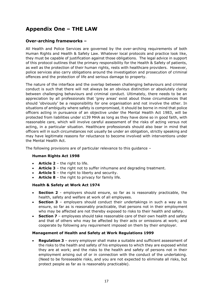# **Appendix One – THE LAW**

# **Over-arching frameworks –**

All Health and Police Services are governed by the over-arching requirements of both Human Rights and Health & Safety Law. Whatever local protocols and practice look like, they must be capable of justification against those obligations. The legal advice in support of this protocol outlines that the primary responsibility for the Health & Safety of patients, as well as the protection of their human rights, rests with healthcare providers. However, police services also carry obligations around the investigation and prosecution of criminal offences and the protection of life and serious damage to property.

The nature of the interface and the overlap between challenging behaviours and criminal conduct is such that there will not always be an obvious distinction or absolutely clarity between challenging behaviours and criminal conduct. Ultimately, there needs to be an appreciation by all professionals that 'grey areas' exist about those circumstances that should 'obviously' be a responsibility for one organisation and not involve the other. In situations of ambiguity where safety is compromised, it should be borne in mind that police officers acting in pursuance of an objective under the Mental Health Act 1983, will be protected from liabilities under s139 MHA as long as they have done so in good faith, with reasonable care, which will involve careful assessment of the risks of acting versus not acting, in a particular situation. Healthcare professionals should also bear in mind that officers will in such circumstances not usually be under an obligation, strictly speaking and may have legitimate reasons for reluctance to become involved with interventions under the Mental Health Act.

The following provisions are of particular relevance to this guidance –

#### **Human Rights Act 1998**

- **Article 2**  the right to life.
- **Article 3**  the right not to suffer inhumane and degrading treatment.
- **Article 5** the right to liberty and security.
- **Article 8**  the right to privacy for family life.

#### **Health & Safety at Work Act 1974**

- **Section 2** employers should ensure, so far as is reasonably practicable, the health, safety and welfare at work of all employees.
- **Section 3** employers should conduct their undertakings in such a way as to ensure, so far as is reasonably practicable, that persons not in their employment who may be affected are not thereby exposed to risks to their health and safety.
- **Section 7** employees should take reasonable care of their own health and safety and that of others who may be affected by their acts or omissions at work; and cooperate by following any requirement imposed on them by their employer.

#### **Management of Health and Safety at Work Regulations 1999**

 **Regulation 3** – every employer shall make a suitable and sufficient assessment of the risks to the health and safety of his employees to which they are exposed whilst they are at work; and the risks to the health and safety of persons not in their employment arising out of or in connection with the conduct of the undertaking. (Need to be foreseeable risks, and you are not expected to eliminate all risks, but protect people as far as is reasonably practicable).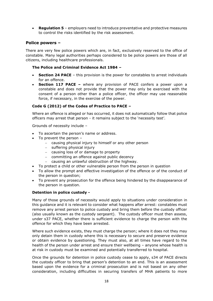**Regulation 5** – employers need to introduce preventative and protective measures to control the risks identified by the risk assessment.

### **Police powers –**

There are very few police powers which are, in fact, exclusively reserved to the office of constable. Many legal authorities perhaps considered to be police powers are those of all citizens, including healthcare professionals.

#### **The Police and Criminal Evidence Act 1984 –**

- **Section 24 PACE** this provision is the power for constables to arrest individuals for an offence.
- **Section 117 PACE –** where any provision of PACE confers a power upon a constable and does not provide that the power may only be exercised with the consent of a person other than a police officer, the officer may use reasonable force, if necessary, in the exercise of the power.

#### **Code G (2012) of the Codes of Practice to PACE –**

Where an offence is alleged or has occurred, it does not automatically follow that police officers may arrest that person - it remains subject to the 'necessity test'.

Grounds of necessity include –

- To ascertain the person's name or address.
- $\bullet$  To prevent the person -
	- causing physical injury to himself or any other person
	- $-$  suffering physical injury
	- causing loss of or damage to property
	- committing an offence against public decency
	- $\overline{a}$  causing an unlawful obstruction of the highway.
- To protect a child or other vulnerable person from the person in question
- To allow the prompt and effective investigation of the offence or of the conduct of the person in question;
- To prevent any prosecution for the offence being hindered by the disappearance of the person in question.

#### **Detention in police custody -**

Many of those grounds of necessity would apply to situations under consideration in this guidance and it is relevant to consider what happens after arrest: constables must remove any arrest person to police custody and bring them before the custody officer (also usually known as the custody sergeant). The custody officer must then assess, under s37 PACE, whether there is sufficient evidence to charge the person with the offence for which they have been arrested.

Where such evidence exists, they must charge the person; where it does not they may only detain them in custody where this is necessary to secure and preserve evidence or obtain evidence by questioning. They must also, at all times have regard to the health of the person under arrest and ensure their wellbeing – anyone whose health is at risk in custody must be examined and potentially transferred to hospital.

Once the grounds for detention in police custody cease to apply, s34 of PACE directs the custody officer to bring that person's detention to an end. This is an assessment based upon the evidence for a criminal prosecution and is not based on any other consideration, including difficulties in securing transfers of MHA patients to more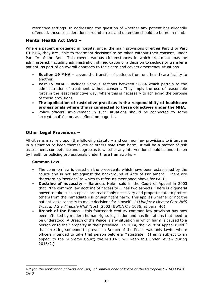restrictive settings. In addressing the question of whether any patient has allegedly offended, these considerations around arrest and detention should be borne in mind.

# **Mental Health Act 1983 –**

Where a patient is detained in hospital under the main provisions of either Part II or Part III MHA, they are liable to treatment decisions to be taken without their consent, under Part IV of the Act. This covers various circumstances in which treatment may be administered, including administration of medication or a decision to seclude or transfer a patient, as part of an overall approach to their care and covers emergency situations.

- **Section 19 MHA** covers the transfer of patients from one healthcare facility to another.
- **Part IV MHA** includes various sections between 56-64 which pertain to the administration of treatment without consent. They imply the use of reasonable force in the least restrictive way, where this is necessary to achieving the purpose of those provisions.
- **The application of restrictive practices is the responsibility of healthcare professionals where this is connected to these objectives under the MHA.**
- Police officers' involvement in such situations should be connected to some 'exceptional' factor, as defined on page 11.

# **Other Legal Provisions –**

All citizens may rely upon the following statutory and common law provisions to intervene in a situation to keep themselves or others safe from harm. It will be a matter of risk assessment, competence and degree as to whether any intervention should be undertaken by health or policing professionals under these frameworks –

#### **Common Law –**

- The common law is based on the precedents which have been established by the courts and is not set against the background of Acts of Parliament. There are therefore no 'sections' to which to refer, as mentioned above for PACE.
- **Doctrine of necessity** Baroness Hale said in the Court of Appeal in 2003 that "the common law doctrine of necessity … has two aspects. There is a general power to take such steps as are reasonably necessary and proportionate to protect others from the immediate risk of significant harm. This applies whether or not the patient lacks capacity to make decisions for himself …" (*Munjaz v Mersey Care NHS Trust and S v Airedale NHS Trust* [2003] EWCA Civ 1036, at para. 46).
- **Breach of the Peace**  this fourteenth century common law provision has now been affected by modern human rights legislation and has limitations that need to be understood. A Breach of the Peace is any situation in which harm is caused to a person or to their property in their presence. In 2014, the Court of Appeal ruled<sup>16</sup> that arresting someone to prevent a Breach of the Peace was only lawful where officers intended to take that person before a Magistrate. (This is subject to an appeal to the Supreme Court; the MH ERG will keep this under review during 2016/7.)

 $\overline{a}$ <sup>16</sup> *R (on the application of Hicks and Ors) v Commissioner of Police of the Metropolis (2014) EWCA Civ 3*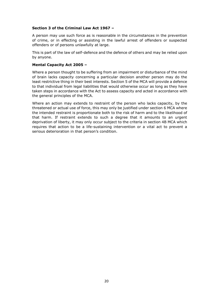#### **Section 3 of the Criminal Law Act 1967 –**

A person may use such force as is reasonable in the circumstances in the prevention of crime, or in effecting or assisting in the lawful arrest of offenders or suspected offenders or of persons unlawfully at large.

This is part of the law of self-defence and the defence of others and may be relied upon by anyone.

#### **Mental Capacity Act 2005 –**

Where a person thought to be suffering from an impairment or disturbance of the mind of brain lacks capacity concerning a particular decision another person may do the least restrictive thing in their best interests. Section 5 of the MCA will provide a defence to that individual from legal liabilities that would otherwise occur as long as they have taken steps in accordance with the Act to assess capacity and acted in accordance with the general principles of the MCA.

Where an action may extends to restraint of the person who lacks capacity, by the threatened or actual use of force, this may only be justified under section 6 MCA where the intended restraint is proportionate both to the risk of harm and to the likelihood of that harm. If restraint extends to such a degree that it amounts to an urgent deprivation of liberty, it may only occur subject to the criteria in section 4B MCA which requires that action to be a life-sustaining intervention or a vital act to prevent a serious deterioration in that person's condition.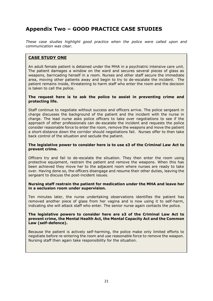# **Appendix Two – GOOD PRACTICE CASE STUDIES**

*These case studies highlight good practice when the police were called upon and communication was clear.*

## **CASE STUDY ONE**

An adult female patient is detained under the MHA in a psychiatric intensive care unit. The patient damages a window on the ward and secures several pieces of glass as weapons, barricading herself in a room. Nurses and other staff secure the immediate area, moving other patients away and begin to try to de-escalate the incident. The patient remains inside, threatening to harm staff who enter the room and the decision is taken to call the police.

#### **The request here is to ask the police to assist in preventing crime and protecting life.**

Staff continue to negotiate without success and officers arrive. The police sergeant in charge discusses the background of the patient and the incident with the nurse in charge. The lead nurse asks police officers to take over negotiations to see if the approach of other professionals can de-escalate the incident and requests the police consider reasonable force to enter the room, remove the weapons and move the patient a short-distance down the corridor should negotiations fail. Nurses offer to then take back control of the situation and seclude the patient.

#### **The legislative power to consider here is to use s3 of the Criminal Law Act to prevent crime.**

Officers try and fail to de-escalate the situation. They then enter the room using protective equipment, restrain the patient and remove the weapons. When this has been achieved they move her to the adjacent room where nurses are ready to take over. Having done so, the officers disengage and resume their other duties, leaving the sergeant to discuss the post-incident issues.

#### **Nursing staff restrain the patient for medication under the MHA and leave her in a seclusion room under supervision.**

Ten minutes later, the nurse undertaking observations identifies the patient has removed another piece of glass from her vagina and is now using it to self-harm, indicating she will attack staff who enter. The senior nurse again contacts the police.

#### **The legislative powers to consider here are s3 of the Criminal Law Act to prevent crime, the Mental Health Act, the Mental Capacity Act and the Common Law (self-defence).**

Because the patient is actively self-harming, the police make only limited efforts to negotiate before re-entering the room and use reasonable force to remove the weapon. Nursing staff then again take responsibility for the situation.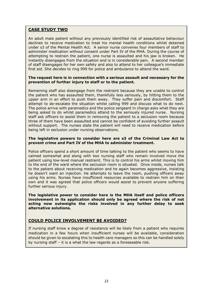### **CASE STUDY TWO**

An adult male patient without any previously identified risk of assaultative behaviour declines to receive medication to treat his mental health conditions whilst detained under s3 of the Mental Health Act. A senior nurse convenes four members of staff to administer medication without consent under Part IV of the MHA. During the course of attempting to restrain the patient, one nurse is assaulted and his jaw is broken. He instantly disengages from the situation and is in considerable pain. A second member of staff disengages for her own safety and also to attend to her colleague's immediate first aid. She decides to ring 999 for police and ambulance to attend the ward.

#### **The request here is in connection with a serious assault and necessary for the prevention of further injury to staff or to the patient.**

Remaining staff also disengage from the restraint because they are unable to control the patient who has assaulted them, thankfully less seriously, by hitting them to the upper arm in an effort to push them away. They suffer pain and discomfort. Staff attempt to de-escalate the situation whilst calling 999 and discuss what to do next. The police arrive with paramedics and the police sergeant in charge asks what they are being asked to do whilst paramedics attend to the seriously injured nurse. Nursing staff ask officers to assist them in removing the patient to a seclusion room because three of them have been assaulted and cannot be confident of avoiding further assault without support. The nurses state the patient will need to receive medication before being left in seclusion under nursing observations.

#### **The legislative powers to consider here are s3 of the Criminal Law Act to prevent crime and Part IV of the MHA to administer treatment.**

Police officers spend a short amount of time talking to the patient who seems to have calmed somewhat and along with two nursing staff who remain involved move the patient using low-level manual restraint. This is to control his arms whilst moving him to the end of the ward where the seclusion room is situated. Once inside, nurses talk to the patient about receiving medication and he again becomes aggressive, insisting he doesn't want an injection. He attempts to leave the room, pushing officers away using his arms. Nurses have insufficient resources available to restrain him on their own and it was agreed that police officers would assist to prevent anyone suffering further serious injury.

**The legislative power to consider here is the MHA itself and police officers involvement in its application should only be agreed where the risk of not acting now outweighs the risks involved in any further delay to seek alternative solutions.**

## **COULD POLICE INVOLVEMENT BE AVOIDED?**

If nursing staff know a degree of resistance will be likely from a patient who requires medication in a few hours when insufficient nurses will be available, consideration should be given to escalating this to health care managers so this can be handled solely by nursing staff – it is a what the law regards as a foreseeable risk.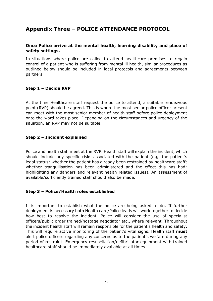# **Appendix Three – POLICE ATTENDANCE PROTOCOL**

## **Once Police arrive at the mental health, learning disability and place of safety settings.**

In situations where police are called to attend healthcare premises to regain control of a patient who is suffering from mental ill health, similar procedures as outlined below should be included in local protocols and agreements between partners.

## **Step 1 – Decide RVP**

At the time Healthcare staff request the police to attend, a suitable rendezvous point (RVP) should be agreed. This is where the most senior police officer present can meet with the most senior member of health staff before police deployment onto the ward takes place. Depending on the circumstances and urgency of the situation, an RVP may not be suitable.

## **Step 2 – Incident explained**

Police and health staff meet at the RVP. Health staff will explain the incident, which should include any specific risks associated with the patient (e.g. the patient's legal status; whether the patient has already been restrained by healthcare staff; whether tranquilisation has been administered and the effect this has had; highlighting any dangers and relevant health related issues). An assessment of available/sufficiently trained staff should also be made.

## **Step 3 – Police/Health roles established**

It is important to establish what the police are being asked to do. If further deployment is necessary both Health care/Police leads will work together to decide how best to resolve the incident. Police will consider the use of specialist officers/public order trained/hostage negotiator etc., where relevant. Throughout the incident health staff will remain responsible for the patient's health and safety. This will require active monitoring of the patient's vital signs. Health staff **must** alert police officers regarding any concerns as to the patient's welfare during any period of restraint. Emergency resuscitation/defibrillator equipment with trained healthcare staff should be immediately available at all times.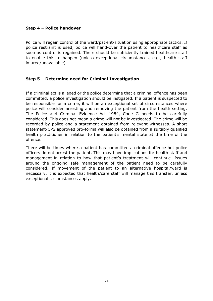## **Step 4 – Police handover**

Police will regain control of the ward/patient/situation using appropriate tactics. If police restraint is used, police will hand-over the patient to healthcare staff as soon as control is regained. There should be sufficiently trained healthcare staff to enable this to happen (unless exceptional circumstances, e.g.; health staff injured/unavailable).

## **Step 5 – Determine need for Criminal Investigation**

If a criminal act is alleged or the police determine that a criminal offence has been committed, a police investigation should be instigated. If a patient is suspected to be responsible for a crime, it will be an exceptional set of circumstances where police will consider arresting and removing the patient from the health setting. The Police and Criminal Evidence Act 1984, Code G needs to be carefully considered. This does not mean a crime will not be investigated. The crime will be recorded by police and a statement obtained from relevant witnesses. A short statement/CPS approved pro-forma will also be obtained from a suitably qualified health practitioner in relation to the patient's mental state at the time of the offence.

There will be times where a patient has committed a criminal offence but police officers do not arrest the patient. This may have implications for health staff and management in relation to how that patient's treatment will continue. Issues around the ongoing safe management of the patient need to be carefully considered. If movement of the patient to an alternative hospital/ward is necessary, it is expected that health/care staff will manage this transfer, unless exceptional circumstances apply.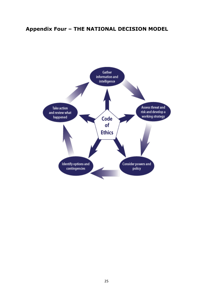# **Appendix Four – THE NATIONAL DECISION MODEL**

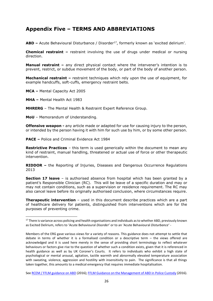# **Appendix Five – TERMS AND ABBREVIATIONS**

**ABD –** Acute Behavioural Disturbance / Disorder<sup>17</sup>, formerly known as 'excited delirium'.

**Chemical restraint –** restraint involving the use of drugs under medical or nursing direction.

**Manual restraint –** any direct physical contact where the intervener's intention is to prevent, restrict, or subdue movement of the body, or part of the body of another person.

**Mechanical restraint –** restraint techniques which rely upon the use of equipment, for example handcuffs, soft-cuffs, emergency restraint belts.

**MCA –** Mental Capacity Act 2005

**MHA –** Mental Health Act 1983

1

**MHRERG** – The Mental Health & Restraint Expert Reference Group.

**MoU** – Memorandum of Understanding.

**Offensive weapon -** any article made or adapted for use for causing injury to the person, or intended by the person having it with him for such use by him, or by some other person.

**PACE –** Police and Criminal Evidence Act 1984

**Restrictive Practices** – this term is used generically within the document to mean any kind of restraint, manual handling, threatened or actual use of force or other therapeutic intervention.

**RIDDOR –** the Reporting of Injuries, Diseases and Dangerous Occurrence Regulations 2013

**Section 17 leave** – is authorised absence from hospital which has been granted by a patient's Responsible Clinician (RC). This will be leave of a specific duration and may or may not contain conditions, such as a supervision or residence requirement. The RC may also cancel leave before its originally authorised conclusion, where circumstances require.

**Therapeutic intervention** – used in this document describe practices which are a part of healthcare delivery for patients, distinguished from interventions which are for the purposes of preventing crime.

See [RCEM / FFLM guidance on ABD](http://www.rcem.ac.uk/CEM/document?id=1006) (2016)[; FFLM Guidance on the Management of ABD in Police Custody](http://www.fflm.ac.uk/wp-content/uploads/documentstore/1310745561.pdf) (2016).

<sup>&</sup>lt;sup>17</sup> There is variance across policing and health organisations and individuals as to whether ABD, previously known as Excited Delirium, refers to 'Acute Behavioural *Disorder*' or to an 'Acute Behavioural *Disturbance*' -

Members of the ERG gave various views for a variety of reasons. This guidance does not attempt to settle that debate in terms of whether it is a formalised condition or a descriptive term – the views offered are acknowledged and it is used here merely in the sense of providing short terminology to reflect whatever behaviours or factors give rise to the question of whether such a condition exists, given that it is referenced in health guidance as well as by UK Coroner's Courts. It refers to individuals who exhibit a high state of psychological or mental arousal, agitation, tactile warmth and abnormally elevated temperature association with sweating, violence, aggression and hostility with insensitivity to pain. The significance is that all things taken together, this amounts to a medical emergency that requires immediate hospitalisation.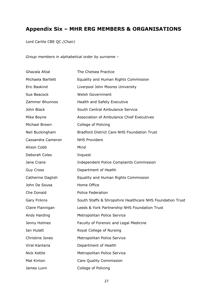# **Appendix Six – MHR ERG MEMBERS & ORGANISATIONS**

Lord Carlile CBE QC *(Chair)* 

*Group members in alphabetical order by surname –*

| Ghazala Afzal     | The Chelsea Practice                                      |
|-------------------|-----------------------------------------------------------|
| Michaela Bartlett | Equality and Human Rights Commission                      |
| Eric Baskind      | Liverpool John Moores University                          |
| Sue Beacock       | <b>Welsh Government</b>                                   |
| Zammer Bhunnoo    | Health and Safety Executive                               |
| John Black        | South Central Ambulance Service                           |
| Mike Boyne        | Association of Ambulance Chief Executives                 |
| Michael Brown     | College of Policing                                       |
| Neil Buckingham   | Bradford District Care NHS Foundation Trust               |
| Cassandra Cameron | <b>NHS Providers</b>                                      |
| Alison Cobb       | Mind                                                      |
| Deborah Coles     | Inquest                                                   |
| Jane Crane        | Independent Police Complaints Commission                  |
| <b>Guy Cross</b>  | Department of Health                                      |
| Catherine Daglish | Equality and Human Rights Commission                      |
| John De Sousa     | Home Office                                               |
| Che Donald        | <b>Police Federation</b>                                  |
| Gary Firkins      | South Staffs & Shropshire Healthcare NHS Foundation Trust |
| Claire Flannigan  | Leeds & York Partnership NHS Foundation Trust             |
| Andy Harding      | Metropolitan Police Service                               |
| Jenny Holmes      | Faculty of Forensic and Legal Medicine                    |
| Ian Hulatt        | Royal College of Nursing                                  |
| Christine Jones   | Metropolitan Police Service                               |
| Viral Kantaria    | Department of Health                                      |
| Nick Kettle       | Metropolitan Police Service                               |
| Mat Kinton        | Care Quality Commission                                   |
| James Lunn        | College of Policing                                       |